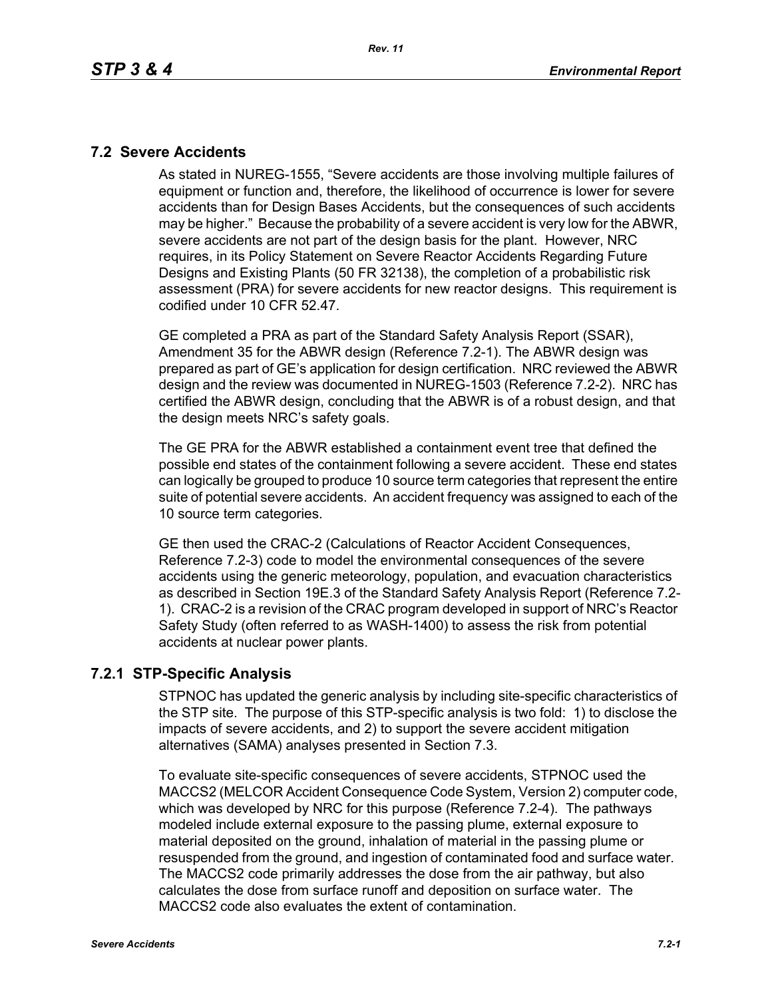#### **7.2 Severe Accidents**

As stated in NUREG-1555, "Severe accidents are those involving multiple failures of equipment or function and, therefore, the likelihood of occurrence is lower for severe accidents than for Design Bases Accidents, but the consequences of such accidents may be higher." Because the probability of a severe accident is very low for the ABWR, severe accidents are not part of the design basis for the plant. However, NRC requires, in its Policy Statement on Severe Reactor Accidents Regarding Future Designs and Existing Plants (50 FR 32138), the completion of a probabilistic risk assessment (PRA) for severe accidents for new reactor designs. This requirement is codified under 10 CFR 52.47.

GE completed a PRA as part of the Standard Safety Analysis Report (SSAR), Amendment 35 for the ABWR design (Reference 7.2-1). The ABWR design was prepared as part of GE's application for design certification. NRC reviewed the ABWR design and the review was documented in NUREG-1503 (Reference 7.2-2). NRC has certified the ABWR design, concluding that the ABWR is of a robust design, and that the design meets NRC's safety goals.

The GE PRA for the ABWR established a containment event tree that defined the possible end states of the containment following a severe accident. These end states can logically be grouped to produce 10 source term categories that represent the entire suite of potential severe accidents. An accident frequency was assigned to each of the 10 source term categories.

GE then used the CRAC-2 (Calculations of Reactor Accident Consequences, Reference 7.2-3) code to model the environmental consequences of the severe accidents using the generic meteorology, population, and evacuation characteristics as described in Section 19E.3 of the Standard Safety Analysis Report (Reference 7.2- 1). CRAC-2 is a revision of the CRAC program developed in support of NRC's Reactor Safety Study (often referred to as WASH-1400) to assess the risk from potential accidents at nuclear power plants.

### **7.2.1 STP-Specific Analysis**

STPNOC has updated the generic analysis by including site-specific characteristics of the STP site. The purpose of this STP-specific analysis is two fold: 1) to disclose the impacts of severe accidents, and 2) to support the severe accident mitigation alternatives (SAMA) analyses presented in Section 7.3.

To evaluate site-specific consequences of severe accidents, STPNOC used the MACCS2 (MELCOR Accident Consequence Code System, Version 2) computer code, which was developed by NRC for this purpose (Reference 7.2-4). The pathways modeled include external exposure to the passing plume, external exposure to material deposited on the ground, inhalation of material in the passing plume or resuspended from the ground, and ingestion of contaminated food and surface water. The MACCS2 code primarily addresses the dose from the air pathway, but also calculates the dose from surface runoff and deposition on surface water. The MACCS2 code also evaluates the extent of contamination.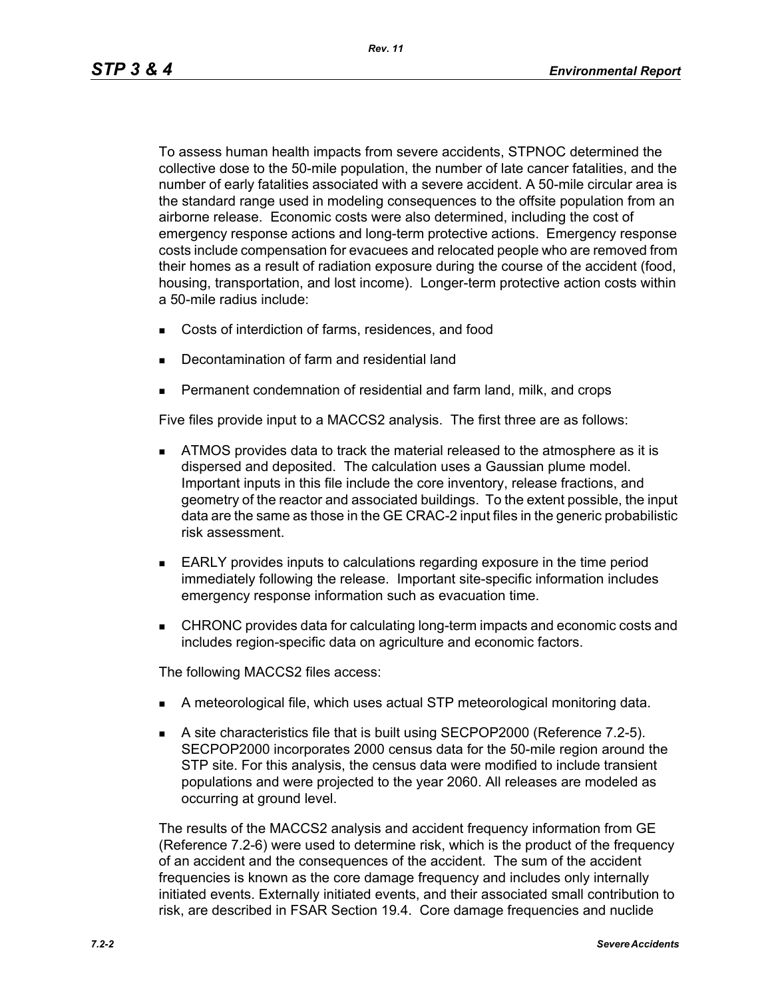To assess human health impacts from severe accidents, STPNOC determined the collective dose to the 50-mile population, the number of late cancer fatalities, and the number of early fatalities associated with a severe accident. A 50-mile circular area is the standard range used in modeling consequences to the offsite population from an airborne release. Economic costs were also determined, including the cost of emergency response actions and long-term protective actions. Emergency response costs include compensation for evacuees and relocated people who are removed from their homes as a result of radiation exposure during the course of the accident (food, housing, transportation, and lost income). Longer-term protective action costs within a 50-mile radius include:

- Costs of interdiction of farms, residences, and food
- Decontamination of farm and residential land
- Permanent condemnation of residential and farm land, milk, and crops

Five files provide input to a MACCS2 analysis. The first three are as follows:

- **ATMOS** provides data to track the material released to the atmosphere as it is dispersed and deposited. The calculation uses a Gaussian plume model. Important inputs in this file include the core inventory, release fractions, and geometry of the reactor and associated buildings. To the extent possible, the input data are the same as those in the GE CRAC-2 input files in the generic probabilistic risk assessment.
- EARLY provides inputs to calculations regarding exposure in the time period immediately following the release. Important site-specific information includes emergency response information such as evacuation time.
- CHRONC provides data for calculating long-term impacts and economic costs and includes region-specific data on agriculture and economic factors.

The following MACCS2 files access:

- A meteorological file, which uses actual STP meteorological monitoring data.
- A site characteristics file that is built using SECPOP2000 (Reference 7.2-5). SECPOP2000 incorporates 2000 census data for the 50-mile region around the STP site. For this analysis, the census data were modified to include transient populations and were projected to the year 2060. All releases are modeled as occurring at ground level.

The results of the MACCS2 analysis and accident frequency information from GE (Reference 7.2-6) were used to determine risk, which is the product of the frequency of an accident and the consequences of the accident. The sum of the accident frequencies is known as the core damage frequency and includes only internally initiated events. Externally initiated events, and their associated small contribution to risk, are described in FSAR Section 19.4. Core damage frequencies and nuclide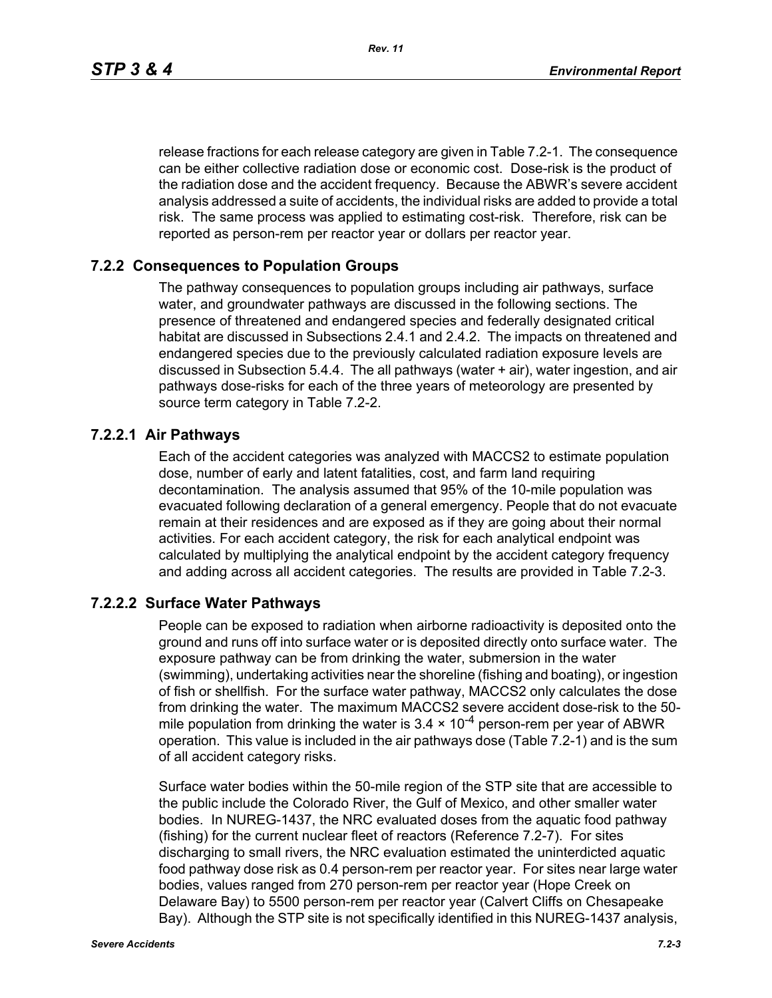*Rev. 11*

release fractions for each release category are given in Table 7.2-1. The consequence can be either collective radiation dose or economic cost. Dose-risk is the product of the radiation dose and the accident frequency. Because the ABWR's severe accident analysis addressed a suite of accidents, the individual risks are added to provide a total risk. The same process was applied to estimating cost-risk. Therefore, risk can be reported as person-rem per reactor year or dollars per reactor year.

#### **7.2.2 Consequences to Population Groups**

The pathway consequences to population groups including air pathways, surface water, and groundwater pathways are discussed in the following sections. The presence of threatened and endangered species and federally designated critical habitat are discussed in Subsections 2.4.1 and 2.4.2. The impacts on threatened and endangered species due to the previously calculated radiation exposure levels are discussed in Subsection 5.4.4. The all pathways (water + air), water ingestion, and air pathways dose-risks for each of the three years of meteorology are presented by source term category in Table 7.2-2.

#### **7.2.2.1 Air Pathways**

Each of the accident categories was analyzed with MACCS2 to estimate population dose, number of early and latent fatalities, cost, and farm land requiring decontamination. The analysis assumed that 95% of the 10-mile population was evacuated following declaration of a general emergency. People that do not evacuate remain at their residences and are exposed as if they are going about their normal activities. For each accident category, the risk for each analytical endpoint was calculated by multiplying the analytical endpoint by the accident category frequency and adding across all accident categories. The results are provided in Table 7.2-3.

#### **7.2.2.2 Surface Water Pathways**

People can be exposed to radiation when airborne radioactivity is deposited onto the ground and runs off into surface water or is deposited directly onto surface water. The exposure pathway can be from drinking the water, submersion in the water (swimming), undertaking activities near the shoreline (fishing and boating), or ingestion of fish or shellfish. For the surface water pathway, MACCS2 only calculates the dose from drinking the water. The maximum MACCS2 severe accident dose-risk to the 50 mile population from drinking the water is  $3.4 \times 10^{-4}$  person-rem per year of ABWR operation. This value is included in the air pathways dose (Table 7.2-1) and is the sum of all accident category risks.

Surface water bodies within the 50-mile region of the STP site that are accessible to the public include the Colorado River, the Gulf of Mexico, and other smaller water bodies. In NUREG-1437, the NRC evaluated doses from the aquatic food pathway (fishing) for the current nuclear fleet of reactors (Reference 7.2-7). For sites discharging to small rivers, the NRC evaluation estimated the uninterdicted aquatic food pathway dose risk as 0.4 person-rem per reactor year. For sites near large water bodies, values ranged from 270 person-rem per reactor year (Hope Creek on Delaware Bay) to 5500 person-rem per reactor year (Calvert Cliffs on Chesapeake Bay). Although the STP site is not specifically identified in this NUREG-1437 analysis,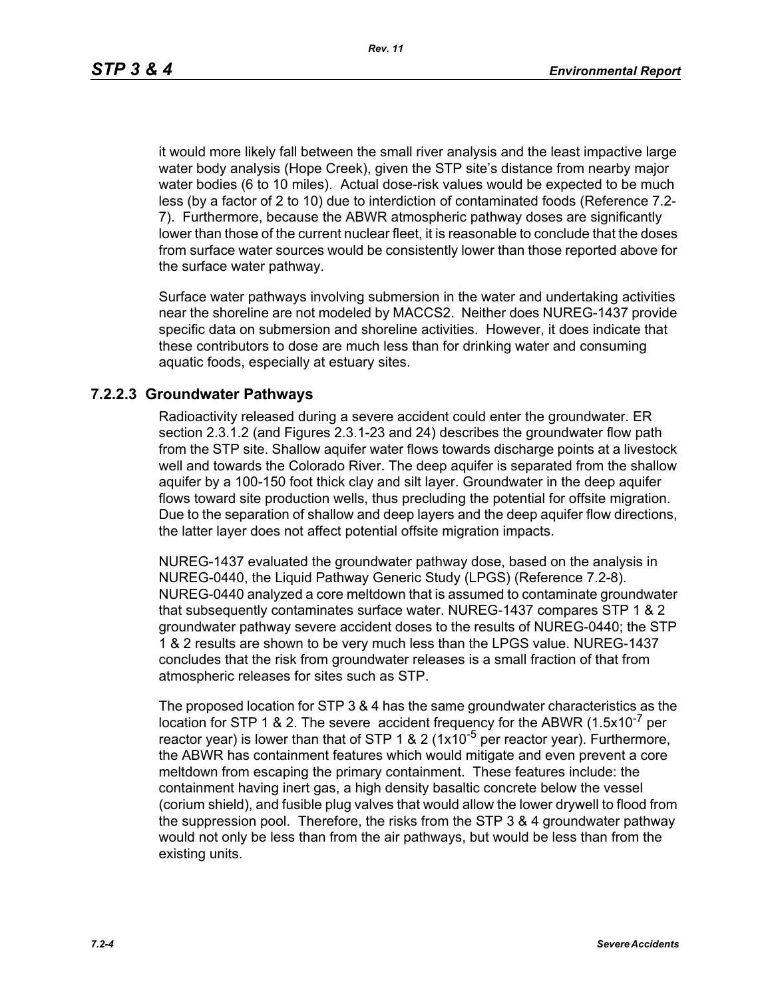it would more likely fall between the small river analysis and the least impactive large water body analysis (Hope Creek), given the STP site's distance from nearby major water bodies (6 to 10 miles). Actual dose-risk values would be expected to be much less (by a factor of 2 to 10) due to interdiction of contaminated foods (Reference 7.2- 7). Furthermore, because the ABWR atmospheric pathway doses are significantly lower than those of the current nuclear fleet, it is reasonable to conclude that the doses from surface water sources would be consistently lower than those reported above for the surface water pathway.

Surface water pathways involving submersion in the water and undertaking activities near the shoreline are not modeled by MACCS2. Neither does NUREG-1437 provide specific data on submersion and shoreline activities. However, it does indicate that these contributors to dose are much less than for drinking water and consuming aquatic foods, especially at estuary sites.

#### **7.2.2.3 Groundwater Pathways**

Radioactivity released during a severe accident could enter the groundwater. ER section 2.3.1.2 (and Figures 2.3.1-23 and 24) describes the groundwater flow path from the STP site. Shallow aquifer water flows towards discharge points at a livestock well and towards the Colorado River. The deep aquifer is separated from the shallow aquifer by a 100-150 foot thick clay and silt layer. Groundwater in the deep aquifer flows toward site production wells, thus precluding the potential for offsite migration. Due to the separation of shallow and deep layers and the deep aquifer flow directions, the latter layer does not affect potential offsite migration impacts.

NUREG-1437 evaluated the groundwater pathway dose, based on the analysis in NUREG-0440, the Liquid Pathway Generic Study (LPGS) (Reference 7.2-8). NUREG-0440 analyzed a core meltdown that is assumed to contaminate groundwater that subsequently contaminates surface water. NUREG-1437 compares STP 1 & 2 groundwater pathway severe accident doses to the results of NUREG-0440; the STP 1 & 2 results are shown to be very much less than the LPGS value. NUREG-1437 concludes that the risk from groundwater releases is a small fraction of that from atmospheric releases for sites such as STP.

The proposed location for STP 3 & 4 has the same groundwater characteristics as the location for STP 1 & 2. The severe accident frequency for the ABWR  $(1.5x10^{-7}$  per reactor year) is lower than that of STP 1 & 2 ( $1x10^{-5}$  per reactor year). Furthermore, the ABWR has containment features which would mitigate and even prevent a core meltdown from escaping the primary containment. These features include: the containment having inert gas, a high density basaltic concrete below the vessel (corium shield), and fusible plug valves that would allow the lower drywell to flood from the suppression pool. Therefore, the risks from the STP 3 & 4 groundwater pathway would not only be less than from the air pathways, but would be less than from the existing units.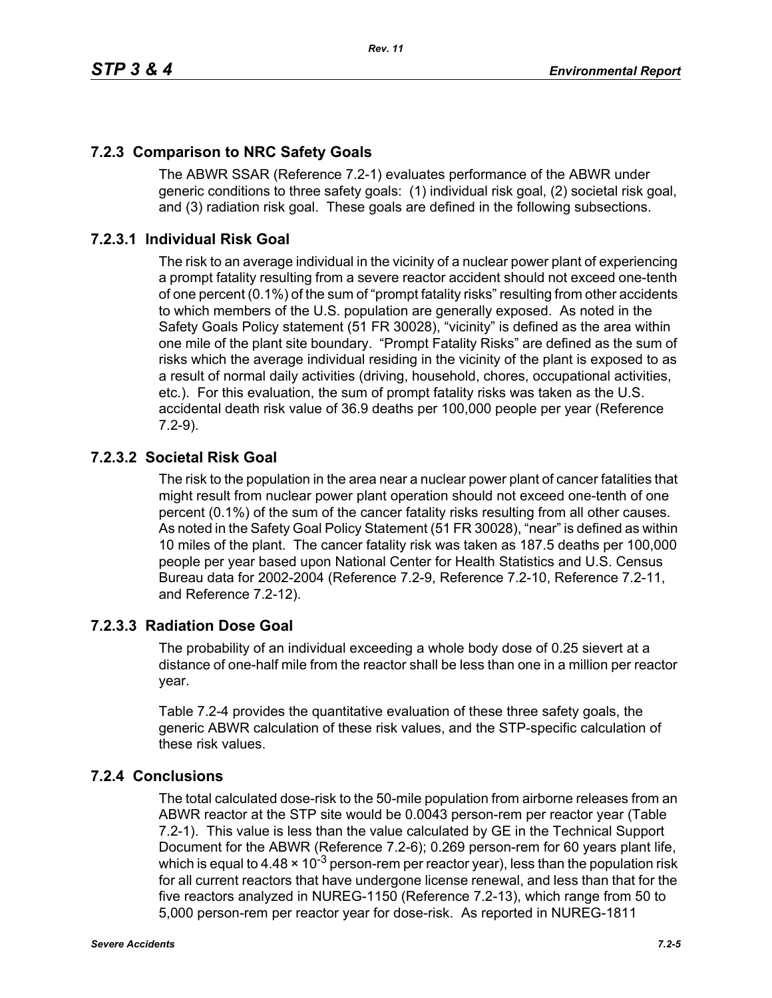## **7.2.3 Comparison to NRC Safety Goals**

The ABWR SSAR (Reference 7.2-1) evaluates performance of the ABWR under generic conditions to three safety goals: (1) individual risk goal, (2) societal risk goal, and (3) radiation risk goal. These goals are defined in the following subsections.

*Rev. 11*

# **7.2.3.1 Individual Risk Goal**

The risk to an average individual in the vicinity of a nuclear power plant of experiencing a prompt fatality resulting from a severe reactor accident should not exceed one-tenth of one percent (0.1%) of the sum of "prompt fatality risks" resulting from other accidents to which members of the U.S. population are generally exposed. As noted in the Safety Goals Policy statement (51 FR 30028), "vicinity" is defined as the area within one mile of the plant site boundary. "Prompt Fatality Risks" are defined as the sum of risks which the average individual residing in the vicinity of the plant is exposed to as a result of normal daily activities (driving, household, chores, occupational activities, etc.). For this evaluation, the sum of prompt fatality risks was taken as the U.S. accidental death risk value of 36.9 deaths per 100,000 people per year (Reference 7.2-9).

### **7.2.3.2 Societal Risk Goal**

The risk to the population in the area near a nuclear power plant of cancer fatalities that might result from nuclear power plant operation should not exceed one-tenth of one percent (0.1%) of the sum of the cancer fatality risks resulting from all other causes. As noted in the Safety Goal Policy Statement (51 FR 30028), "near" is defined as within 10 miles of the plant. The cancer fatality risk was taken as 187.5 deaths per 100,000 people per year based upon National Center for Health Statistics and U.S. Census Bureau data for 2002-2004 (Reference 7.2-9, Reference 7.2-10, Reference 7.2-11, and Reference 7.2-12).

### **7.2.3.3 Radiation Dose Goal**

The probability of an individual exceeding a whole body dose of 0.25 sievert at a distance of one-half mile from the reactor shall be less than one in a million per reactor year.

Table 7.2-4 provides the quantitative evaluation of these three safety goals, the generic ABWR calculation of these risk values, and the STP-specific calculation of these risk values.

### **7.2.4 Conclusions**

The total calculated dose-risk to the 50-mile population from airborne releases from an ABWR reactor at the STP site would be 0.0043 person-rem per reactor year (Table 7.2-1). This value is less than the value calculated by GE in the Technical Support Document for the ABWR (Reference 7.2-6); 0.269 person-rem for 60 years plant life, which is equal to 4.48  $\times$  10<sup>-3</sup> person-rem per reactor year), less than the population risk for all current reactors that have undergone license renewal, and less than that for the five reactors analyzed in NUREG-1150 (Reference 7.2-13), which range from 50 to 5,000 person-rem per reactor year for dose-risk. As reported in NUREG-1811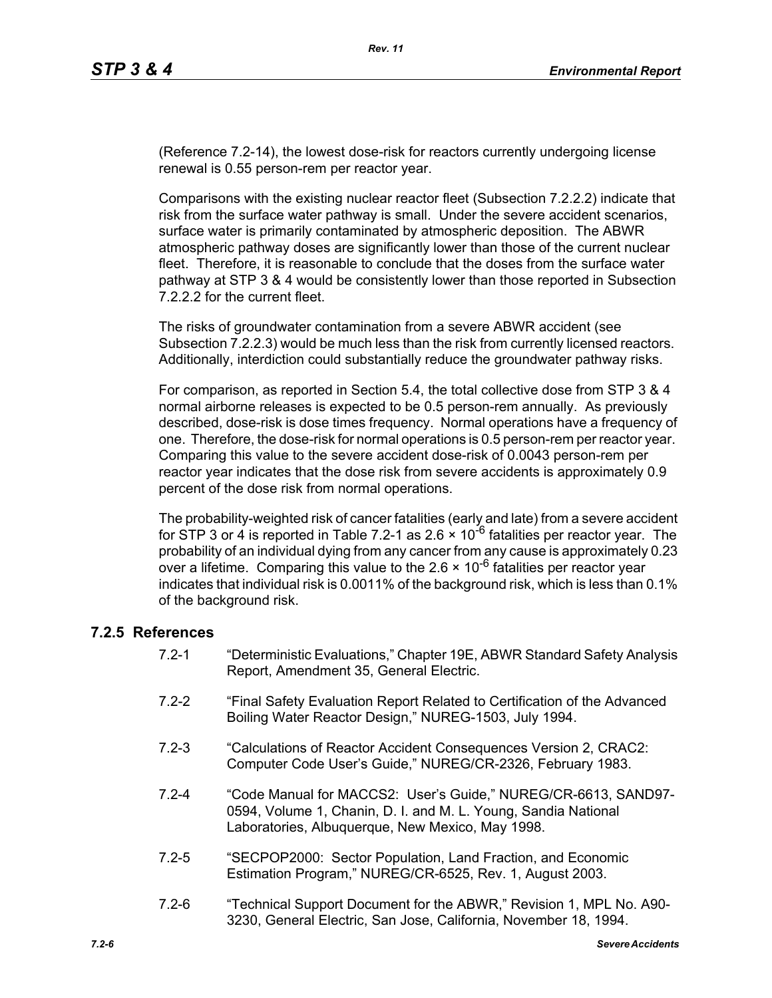(Reference 7.2-14), the lowest dose-risk for reactors currently undergoing license renewal is 0.55 person-rem per reactor year.

Comparisons with the existing nuclear reactor fleet (Subsection 7.2.2.2) indicate that risk from the surface water pathway is small. Under the severe accident scenarios, surface water is primarily contaminated by atmospheric deposition. The ABWR atmospheric pathway doses are significantly lower than those of the current nuclear fleet. Therefore, it is reasonable to conclude that the doses from the surface water pathway at STP 3 & 4 would be consistently lower than those reported in Subsection 7.2.2.2 for the current fleet.

The risks of groundwater contamination from a severe ABWR accident (see Subsection 7.2.2.3) would be much less than the risk from currently licensed reactors. Additionally, interdiction could substantially reduce the groundwater pathway risks.

For comparison, as reported in Section 5.4, the total collective dose from STP 3 & 4 normal airborne releases is expected to be 0.5 person-rem annually. As previously described, dose-risk is dose times frequency. Normal operations have a frequency of one. Therefore, the dose-risk for normal operations is 0.5 person-rem per reactor year. Comparing this value to the severe accident dose-risk of 0.0043 person-rem per reactor year indicates that the dose risk from severe accidents is approximately 0.9 percent of the dose risk from normal operations.

The probability-weighted risk of cancer fatalities (early and late) from a severe accident for STP 3 or 4 is reported in Table 7.2-1 as 2.6  $\times$  10<sup>-6</sup> fatalities per reactor year. The probability of an individual dying from any cancer from any cause is approximately 0.23 over a lifetime. Comparing this value to the  $2.6 \times 10^{-6}$  fatalities per reactor year indicates that individual risk is 0.0011% of the background risk, which is less than 0.1% of the background risk.

#### **7.2.5 References**

- 7.2-1 "Deterministic Evaluations," Chapter 19E, ABWR Standard Safety Analysis Report, Amendment 35, General Electric.
- 7.2-2 "Final Safety Evaluation Report Related to Certification of the Advanced Boiling Water Reactor Design," NUREG-1503, July 1994.
- 7.2-3 "Calculations of Reactor Accident Consequences Version 2, CRAC2: Computer Code User's Guide," NUREG/CR-2326, February 1983.
- 7.2-4 "Code Manual for MACCS2: User's Guide," NUREG/CR-6613, SAND97- 0594, Volume 1, Chanin, D. I. and M. L. Young, Sandia National Laboratories, Albuquerque, New Mexico, May 1998.
- 7.2-5 "SECPOP2000: Sector Population, Land Fraction, and Economic Estimation Program," NUREG/CR-6525, Rev. 1, August 2003.
- 7.2-6 "Technical Support Document for the ABWR," Revision 1, MPL No. A90- 3230, General Electric, San Jose, California, November 18, 1994.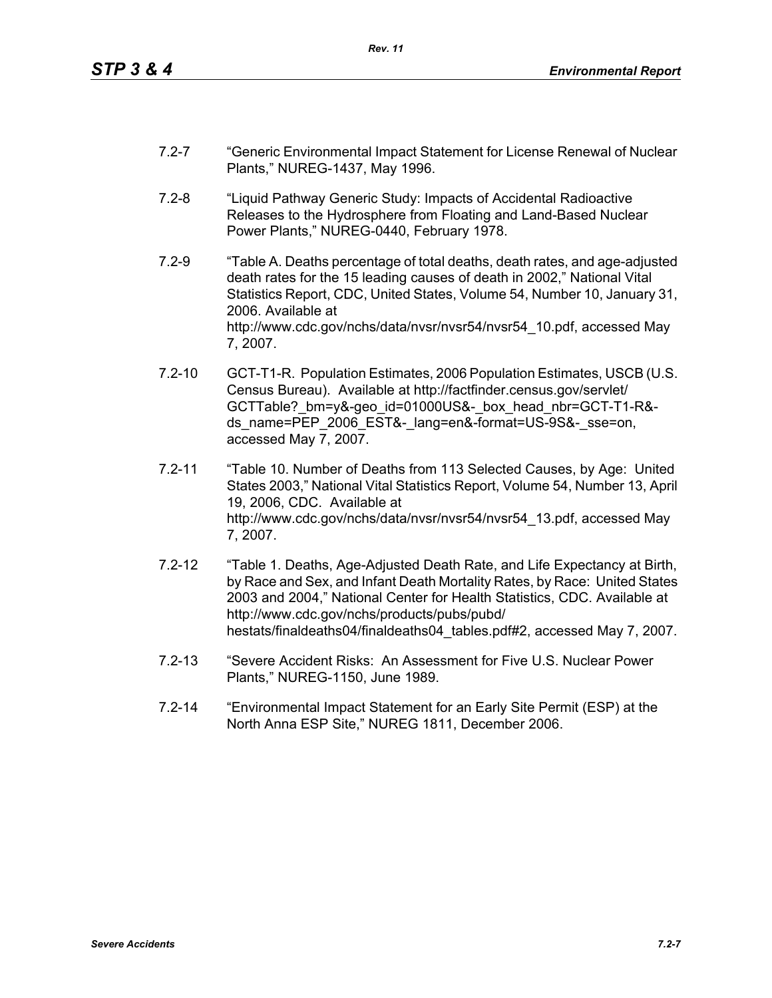- 7.2-7 "Generic Environmental Impact Statement for License Renewal of Nuclear Plants," NUREG-1437, May 1996.
- 7.2-8 "Liquid Pathway Generic Study: Impacts of Accidental Radioactive Releases to the Hydrosphere from Floating and Land-Based Nuclear Power Plants," NUREG-0440, February 1978.
- 7.2-9 "Table A. Deaths percentage of total deaths, death rates, and age-adjusted death rates for the 15 leading causes of death in 2002," National Vital Statistics Report, CDC, United States, Volume 54, Number 10, January 31, 2006. Available at http://www.cdc.gov/nchs/data/nvsr/nvsr54/nvsr54\_10.pdf, accessed May 7, 2007.
- 7.2-10 GCT-T1-R. Population Estimates, 2006 Population Estimates, USCB (U.S. Census Bureau). Available at http://factfinder.census.gov/servlet/ GCTTable? bm=y&-geo\_id=01000US&-\_box\_head\_nbr=GCT-T1-R&ds\_name=PEP\_2006\_EST&-\_lang=en&-format=US-9S&-\_sse=on, accessed May 7, 2007.
- 7.2-11 "Table 10. Number of Deaths from 113 Selected Causes, by Age: United States 2003," National Vital Statistics Report, Volume 54, Number 13, April 19, 2006, CDC. Available at http://www.cdc.gov/nchs/data/nvsr/nvsr54/nvsr54\_13.pdf, accessed May 7, 2007.
- 7.2-12 "Table 1. Deaths, Age-Adjusted Death Rate, and Life Expectancy at Birth, by Race and Sex, and Infant Death Mortality Rates, by Race: United States 2003 and 2004," National Center for Health Statistics, CDC. Available at http://www.cdc.gov/nchs/products/pubs/pubd/ hestats/finaldeaths04/finaldeaths04\_tables.pdf#2, accessed May 7, 2007.
- 7.2-13 "Severe Accident Risks: An Assessment for Five U.S. Nuclear Power Plants," NUREG-1150, June 1989.
- 7.2-14 "Environmental Impact Statement for an Early Site Permit (ESP) at the North Anna ESP Site," NUREG 1811, December 2006.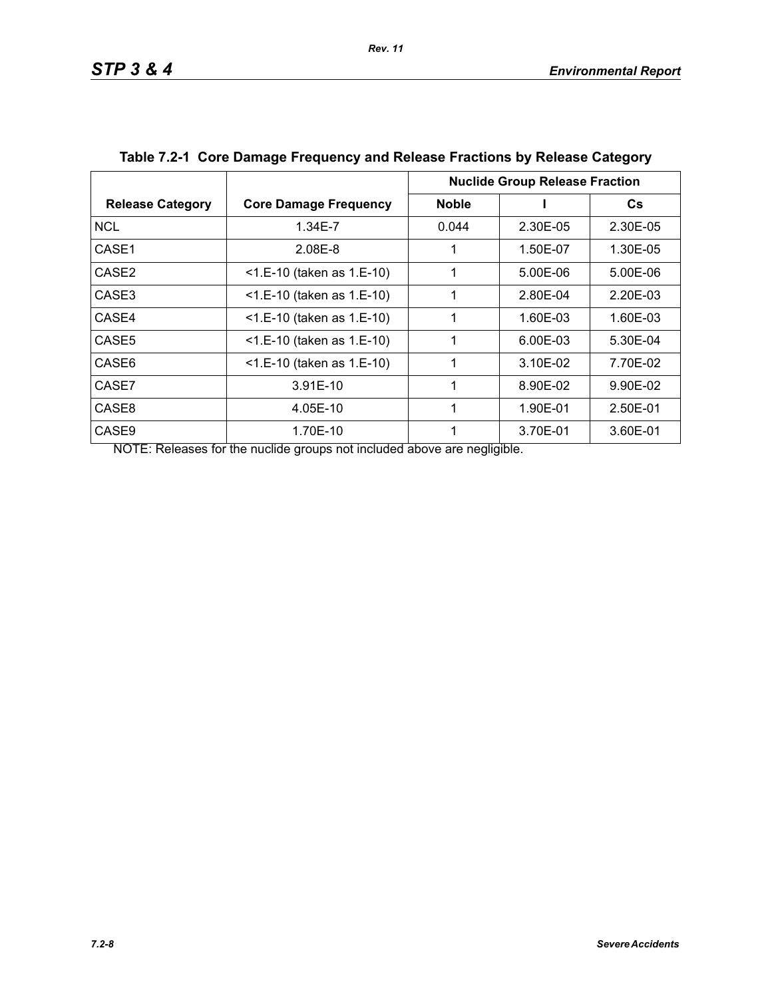|                         |                              | <b>Nuclide Group Release Fraction</b> |          |           |
|-------------------------|------------------------------|---------------------------------------|----------|-----------|
| <b>Release Category</b> | <b>Core Damage Frequency</b> | <b>Noble</b>                          |          | <b>Cs</b> |
| <b>NCL</b>              | 1.34E-7                      | 0.044                                 | 2.30E-05 | 2.30E-05  |
| CASE1                   | 2.08E-8                      |                                       | 1.50E-07 | 1.30E-05  |
| CASE <sub>2</sub>       | $<$ 1.E-10 (taken as 1.E-10) | 1                                     | 5.00E-06 | 5.00E-06  |
| CASE3                   | $<$ 1.E-10 (taken as 1.E-10) | 1                                     | 2.80E-04 | 2.20E-03  |
| CASE4                   | $<$ 1.E-10 (taken as 1.E-10) | 1                                     | 1.60E-03 | 1.60E-03  |
| CASE <sub>5</sub>       | $<$ 1.E-10 (taken as 1.E-10) |                                       | 6.00E-03 | 5.30E-04  |
| CASE6                   | $<$ 1.E-10 (taken as 1.E-10) |                                       | 3.10E-02 | 7.70E-02  |
| CASE7                   | 3.91E-10                     |                                       | 8.90E-02 | 9.90E-02  |
| CASE8                   | 4.05E-10                     |                                       | 1.90E-01 | 2.50E-01  |
| CASE <sub>9</sub>       | 1.70E-10                     |                                       | 3.70E-01 | 3.60E-01  |

# **Table 7.2-1 Core Damage Frequency and Release Fractions by Release Category**

NOTE: Releases for the nuclide groups not included above are negligible.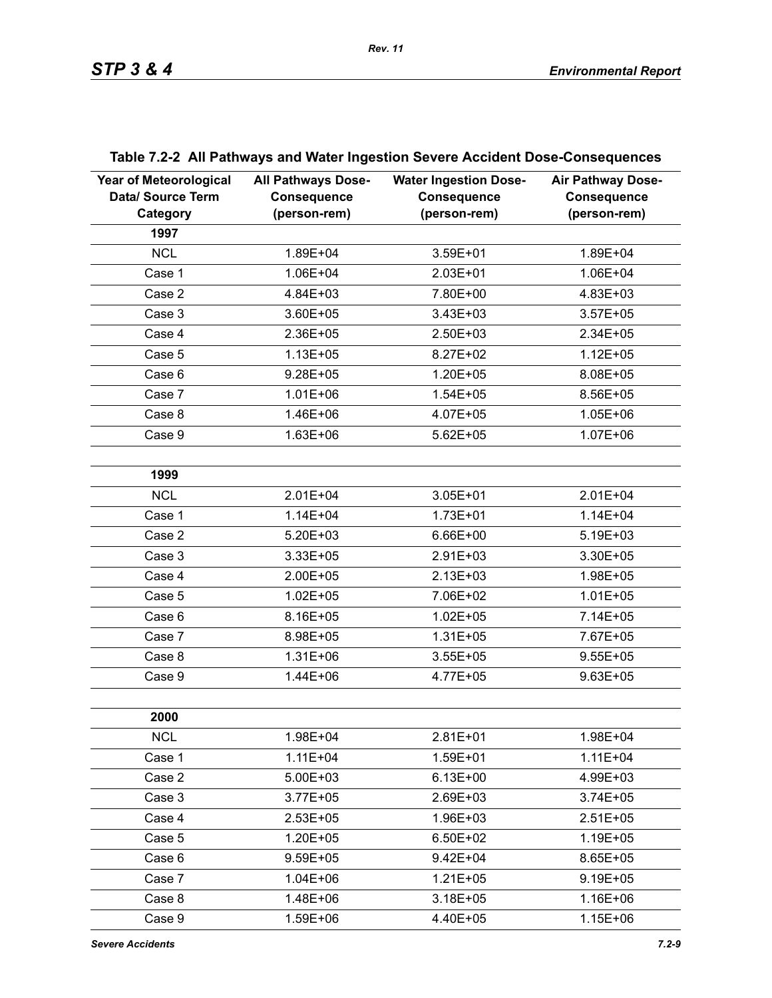| <b>Year of Meteorological</b><br>Data/ Source Term<br>Category | <b>All Pathways Dose-</b><br><b>Consequence</b><br>(person-rem) | <b>Water Ingestion Dose-</b><br><b>Consequence</b><br>(person-rem) | <b>Air Pathway Dose-</b><br><b>Consequence</b><br>(person-rem) |
|----------------------------------------------------------------|-----------------------------------------------------------------|--------------------------------------------------------------------|----------------------------------------------------------------|
| 1997                                                           |                                                                 |                                                                    |                                                                |
| <b>NCL</b>                                                     | 1.89E+04                                                        | 3.59E+01                                                           | 1.89E+04                                                       |
| Case 1                                                         | 1.06E+04                                                        | 2.03E+01                                                           | 1.06E+04                                                       |
| Case 2                                                         | 4.84E+03                                                        | 7.80E+00                                                           | 4.83E+03                                                       |
| Case 3                                                         | 3.60E+05                                                        | 3.43E+03                                                           | $3.57E + 05$                                                   |
| Case 4                                                         | 2.36E+05                                                        | 2.50E+03                                                           | 2.34E+05                                                       |
| Case 5                                                         | $1.13E + 05$                                                    | 8.27E+02                                                           | $1.12E + 05$                                                   |
| Case 6                                                         | $9.28E + 05$                                                    | $1.20E + 05$                                                       | 8.08E+05                                                       |
| Case 7                                                         | $1.01E + 06$                                                    | $1.54E + 05$                                                       | 8.56E+05                                                       |
| Case 8                                                         | 1.46E+06                                                        | 4.07E+05                                                           | $1.05E + 06$                                                   |
| Case 9                                                         | 1.63E+06                                                        | $5.62E + 05$                                                       | $1.07E + 06$                                                   |
|                                                                |                                                                 |                                                                    |                                                                |
| 1999                                                           |                                                                 |                                                                    |                                                                |
| <b>NCL</b>                                                     | $2.01E + 04$                                                    | 3.05E+01                                                           | 2.01E+04                                                       |
| Case 1                                                         | $1.14E + 04$                                                    | $1.73E + 01$                                                       | 1.14E+04                                                       |
| Case 2                                                         | $5.20E + 03$                                                    | 6.66E+00                                                           | 5.19E+03                                                       |
| Case 3                                                         | 3.33E+05                                                        | 2.91E+03                                                           | 3.30E+05                                                       |
| Case 4                                                         | 2.00E+05                                                        | $2.13E + 03$                                                       | 1.98E+05                                                       |
| Case 5                                                         | $1.02E + 05$                                                    | 7.06E+02                                                           | $1.01E + 05$                                                   |
| Case 6                                                         | 8.16E+05                                                        | $1.02E + 05$                                                       | 7.14E+05                                                       |
| Case 7                                                         | 8.98E+05                                                        | $1.31E + 05$                                                       | 7.67E+05                                                       |
| Case 8                                                         | $1.31E + 06$                                                    | $3.55E + 05$                                                       | $9.55E + 05$                                                   |
| Case 9                                                         | 1.44E+06                                                        | 4.77E+05                                                           | $9.63E + 05$                                                   |
|                                                                |                                                                 |                                                                    |                                                                |
| 2000                                                           |                                                                 |                                                                    |                                                                |
| <b>NCL</b>                                                     | 1.98E+04                                                        | $2.81E+01$                                                         | 1.98E+04                                                       |
| Case 1                                                         | 1.11E+04                                                        | 1.59E+01                                                           | $1.11E + 04$                                                   |
| Case 2                                                         | 5.00E+03                                                        | $6.13E + 00$                                                       | 4.99E+03                                                       |
| Case 3                                                         | $3.77E + 05$                                                    | 2.69E+03                                                           | $3.74E + 05$                                                   |
| Case 4                                                         | $2.53E + 05$                                                    | 1.96E+03                                                           | $2.51E+05$                                                     |
| Case 5                                                         | $1.20E + 05$                                                    | 6.50E+02                                                           | 1.19E+05                                                       |
| Case 6                                                         | $9.59E + 05$                                                    | $9.42E + 04$                                                       | 8.65E+05                                                       |
| Case 7                                                         | $1.04E + 06$                                                    | $1.21E + 05$                                                       | 9.19E+05                                                       |
| Case 8                                                         | 1.48E+06                                                        | $3.18E + 05$                                                       | 1.16E+06                                                       |
| Case 9                                                         | 1.59E+06                                                        | 4.40E+05                                                           | $1.15E + 06$                                                   |

# **Table 7.2-2 All Pathways and Water Ingestion Severe Accident Dose-Consequences**